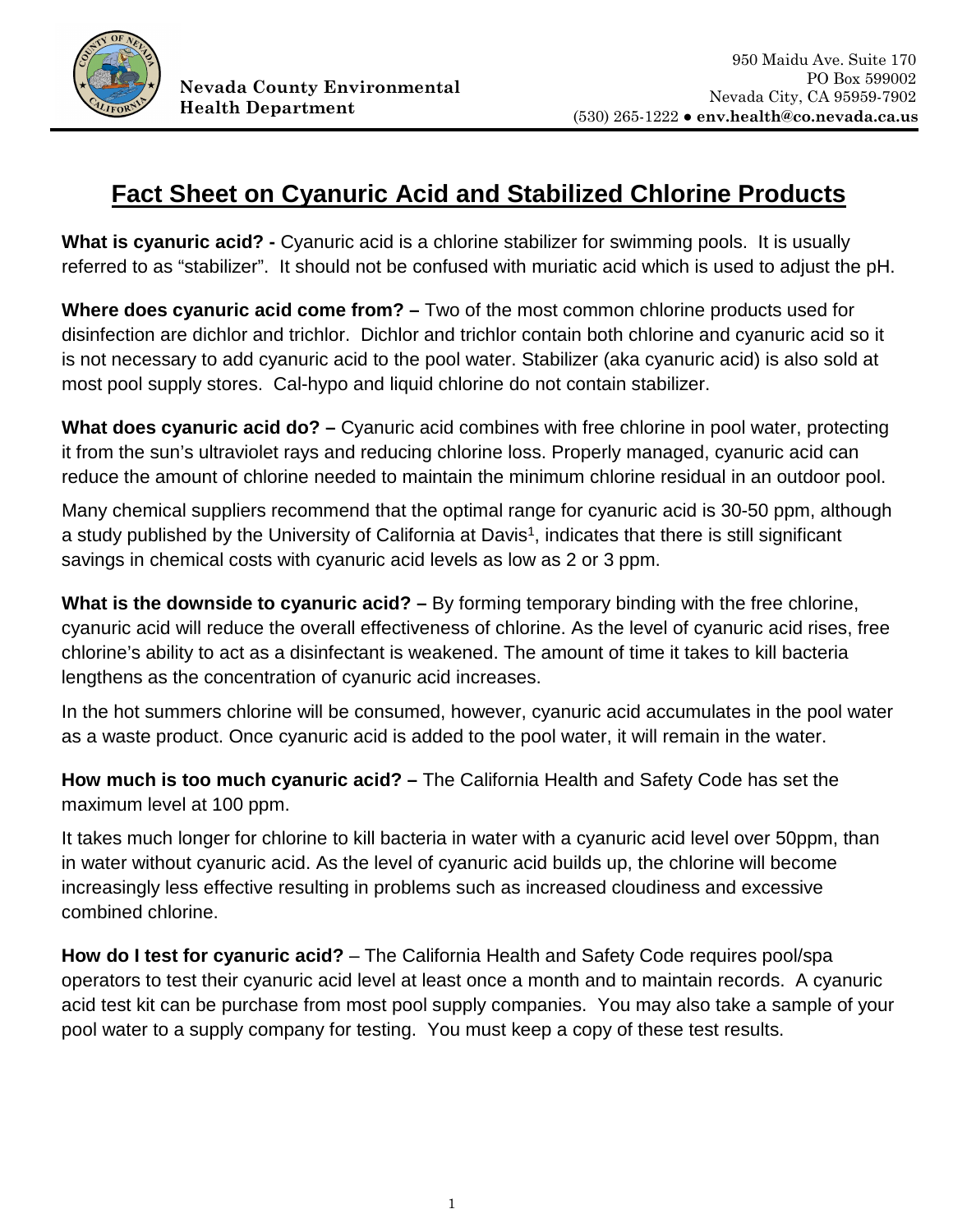

## **Fact Sheet on Cyanuric Acid and Stabilized Chlorine Products**

**What is cyanuric acid? -** Cyanuric acid is a chlorine stabilizer for swimming pools. It is usually referred to as "stabilizer". It should not be confused with muriatic acid which is used to adjust the pH.

**Where does cyanuric acid come from?** – Two of the most common chlorine products used for disinfection are dichlor and trichlor. Dichlor and trichlor contain both chlorine and cyanuric acid so it is not necessary to add cyanuric acid to the pool water. Stabilizer (aka cyanuric acid) is also sold at most pool supply stores. Cal-hypo and liquid chlorine do not contain stabilizer.

What does cyanuric acid do? - Cyanuric acid combines with free chlorine in pool water, protecting it from the sun's ultraviolet rays and reducing chlorine loss. Properly managed, cyanuric acid can reduce the amount of chlorine needed to maintain the minimum chlorine residual in an outdoor pool.

Many chemical suppliers recommend that the optimal range for cyanuric acid is 30-50 ppm, although a study published by the University of California at Davis<sup>1</sup>, indicates that there is still significant savings in chemical costs with cyanuric acid levels as low as 2 or 3 ppm.

**What is the downside to cyanuric acid? –** By forming temporary binding with the free chlorine, cyanuric acid will reduce the overall effectiveness of chlorine. As the level of cyanuric acid rises, free chlorine's ability to act as a disinfectant is weakened. The amount of time it takes to kill bacteria lengthens as the concentration of cyanuric acid increases.

In the hot summers chlorine will be consumed, however, cyanuric acid accumulates in the pool water as a waste product. Once cyanuric acid is added to the pool water, it will remain in the water.

**How much is too much cyanuric acid? –** The California Health and Safety Code has set the maximum level at 100 ppm.

It takes much longer for chlorine to kill bacteria in water with a cyanuric acid level over 50ppm, than in water without cyanuric acid. As the level of cyanuric acid builds up, the chlorine will become increasingly less effective resulting in problems such as increased cloudiness and excessive combined chlorine.

**How do I test for cyanuric acid?** – The California Health and Safety Code requires pool/spa operators to test their cyanuric acid level at least once a month and to maintain records. A cyanuric acid test kit can be purchase from most pool supply companies. You may also take a sample of your pool water to a supply company for testing. You must keep a copy of these test results.